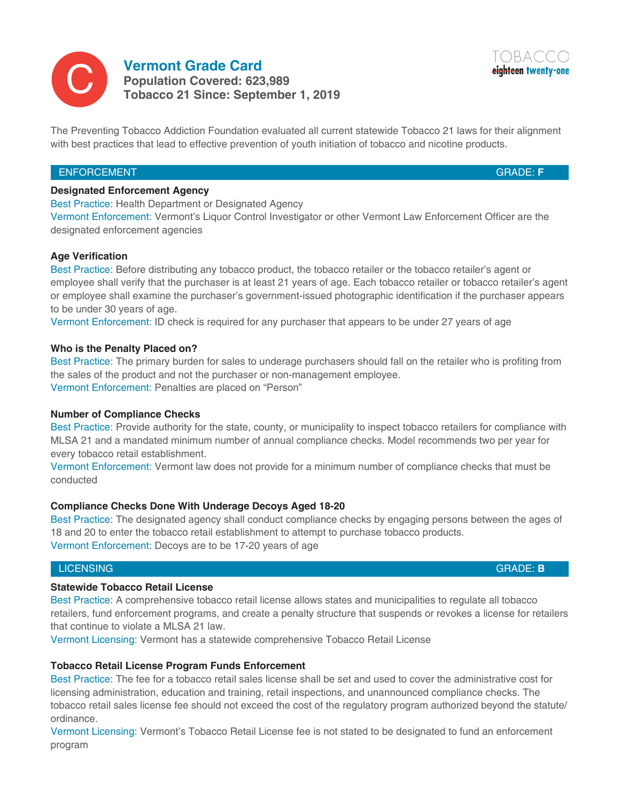

# **Vermont Grade Card**  Population Covered: 623,989<br>**Tobacco 21 Since: September 1, 2019**



The Preventing Tobacco Addiction Foundation evaluated all current statewide Tobacco 21 laws for their alignment with best practices that lead to effective prevention of youth initiation of tobacco and nicotine products.

## ENFORCEMENT

GRADE: **F**

# **Designated Enforcement Agency**

Best Practice: Health Department or Designated Agency

Vermont Enforcement: Vermont's Liquor Control Investigator or other Vermont Law Enforcement Officer are the designated enforcement agencies

## **Age Verification**

Best Practice: Before distributing any tobacco product, the tobacco retailer or the tobacco retailer's agent or employee shall verify that the purchaser is at least 21 years of age. Each tobacco retailer or tobacco retailer's agent or employee shall examine the purchaser's government-issued photographic identification if the purchaser appears to be under 30 years of age.

Vermont Enforcement: ID check is required for any purchaser that appears to be under 27 years of age

## **Who is the Penalty Placed on?**

Best Practice: The primary burden for sales to underage purchasers should fall on the retailer who is profiting from the sales of the product and not the purchaser or non-management employee. Vermont Enforcement: Penalties are placed on "Person"

# **Number of Compliance Checks**

Best Practice: Provide authority for the state, county, or municipality to inspect tobacco retailers for compliance with MLSA 21 and a mandated minimum number of annual compliance checks. Model recommends two per year for every tobacco retail establishment.

Vermont Enforcement: Vermont law does not provide for a minimum number of compliance checks that must be conducted

# **Compliance Checks Done With Underage Decoys Aged 18-20**

Best Practice: The designated agency shall conduct compliance checks by engaging persons between the ages of 18 and 20 to enter the tobacco retail establishment to attempt to purchase tobacco products. Vermont Enforcement: Decoys are to be 17-20 years of age

## **LICENSING**

#### **Statewide Tobacco Retail License**

Best Practice: A comprehensive tobacco retail license allows states and municipalities to regulate all tobacco retailers, fund enforcement programs, and create a penalty structure that suspends or revokes a license for retailers that continue to violate a MLSA 21 law.

Vermont Licensing: Vermont has a statewide comprehensive Tobacco Retail License

#### **Tobacco Retail License Program Funds Enforcement**

Best Practice: The fee for a tobacco retail sales license shall be set and used to cover the administrative cost for licensing administration, education and training, retail inspections, and unannounced compliance checks. The tobacco retail sales license fee should not exceed the cost of the regulatory program authorized beyond the statute/ ordinance.

Vermont Licensing: Vermont's Tobacco Retail License fee is not stated to be designated to fund an enforcement program

#### GRADE: **B**